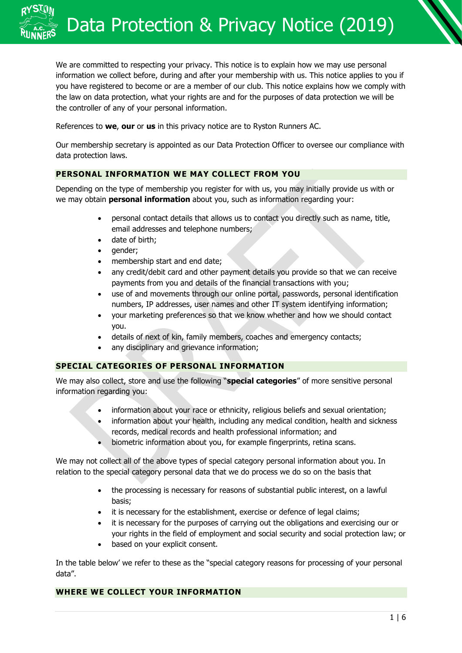We are committed to respecting your privacy. This notice is to explain how we may use personal information we collect before, during and after your membership with us. This notice applies to you if you have registered to become or are a member of our club. This notice explains how we comply with the law on data protection, what your rights are and for the purposes of data protection we will be the controller of any of your personal information.

References to **we**, **our** or **us** in this privacy notice are to Ryston Runners AC.

Our membership secretary is appointed as our Data Protection Officer to oversee our compliance with data protection laws.

## **PERSONAL INFORMATION WE MAY COLLECT FROM YOU**

Depending on the type of membership you register for with us, you may initially provide us with or we may obtain **personal information** about you, such as information regarding your:

- personal contact details that allows us to contact you directly such as name, title, email addresses and telephone numbers;
- date of birth;
- gender;
- membership start and end date;
- any credit/debit card and other payment details you provide so that we can receive payments from you and details of the financial transactions with you;
- use of and movements through our online portal, passwords, personal identification numbers, IP addresses, user names and other IT system identifying information;
- your marketing preferences so that we know whether and how we should contact you.
- details of next of kin, family members, coaches and emergency contacts;
- any disciplinary and grievance information;

### **SPECIAL CATEGORIES OF PERSONAL INFORMATION**

We may also collect, store and use the following "**special categories**" of more sensitive personal information regarding you:

- information about your race or ethnicity, religious beliefs and sexual orientation;
- information about your health, including any medical condition, health and sickness records, medical records and health professional information; and
- biometric information about you, for example fingerprints, retina scans.

We may not collect all of the above types of special category personal information about you. In relation to the special category personal data that we do process we do so on the basis that

- the processing is necessary for reasons of substantial public interest, on a lawful basis;
- it is necessary for the establishment, exercise or defence of legal claims;
- it is necessary for the purposes of carrying out the obligations and exercising our or your rights in the field of employment and social security and social protection law; or
- based on your explicit consent.

In the table below' we refer to these as the "special category reasons for processing of your personal data".

#### **WHERE WE COLLECT YOUR INFORMATION**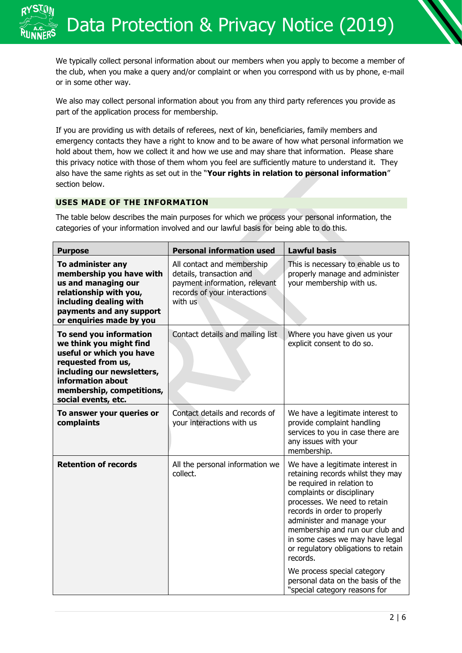We typically collect personal information about our members when you apply to become a member of the club, when you make a query and/or complaint or when you correspond with us by phone, e-mail or in some other way.

We also may collect personal information about you from any third party references you provide as part of the application process for membership.

If you are providing us with details of referees, next of kin, beneficiaries, family members and emergency contacts they have a right to know and to be aware of how what personal information we hold about them, how we collect it and how we use and may share that information. Please share this privacy notice with those of them whom you feel are sufficiently mature to understand it. They also have the same rights as set out in the "**Your rights in relation to personal information**" section below.

## **USES MADE OF THE INFORMATION**

The table below describes the main purposes for which we process your personal information, the categories of your information involved and our lawful basis for being able to do this.

| <b>Purpose</b>                                                                                                                                                                                              | <b>Personal information used</b>                                                                                                   | <b>Lawful basis</b>                                                                                                                                                                                                                                                                                                                                                                                                                                           |
|-------------------------------------------------------------------------------------------------------------------------------------------------------------------------------------------------------------|------------------------------------------------------------------------------------------------------------------------------------|---------------------------------------------------------------------------------------------------------------------------------------------------------------------------------------------------------------------------------------------------------------------------------------------------------------------------------------------------------------------------------------------------------------------------------------------------------------|
| To administer any<br>membership you have with<br>us and managing our<br>relationship with you,<br>including dealing with<br>payments and any support<br>or enquiries made by you                            | All contact and membership<br>details, transaction and<br>payment information, relevant<br>records of your interactions<br>with us | This is necessary to enable us to<br>properly manage and administer<br>your membership with us.                                                                                                                                                                                                                                                                                                                                                               |
| To send you information<br>we think you might find<br>useful or which you have<br>requested from us,<br>including our newsletters,<br>information about<br>membership, competitions,<br>social events, etc. | Contact details and mailing list                                                                                                   | Where you have given us your<br>explicit consent to do so.                                                                                                                                                                                                                                                                                                                                                                                                    |
| To answer your queries or<br>complaints                                                                                                                                                                     | Contact details and records of<br>your interactions with us                                                                        | We have a legitimate interest to<br>provide complaint handling<br>services to you in case there are<br>any issues with your<br>membership.                                                                                                                                                                                                                                                                                                                    |
| <b>Retention of records</b>                                                                                                                                                                                 | All the personal information we<br>collect.                                                                                        | We have a legitimate interest in<br>retaining records whilst they may<br>be required in relation to<br>complaints or disciplinary<br>processes. We need to retain<br>records in order to properly<br>administer and manage your<br>membership and run our club and<br>in some cases we may have legal<br>or regulatory obligations to retain<br>records.<br>We process special category<br>personal data on the basis of the<br>"special category reasons for |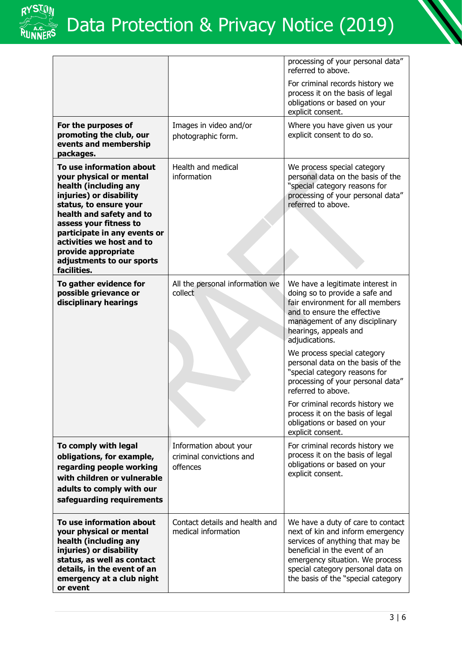

|                                                                                                                                                                                                                                                                                                                         |                                                                | processing of your personal data"<br>referred to above.                                                                                                                                                                                                  |
|-------------------------------------------------------------------------------------------------------------------------------------------------------------------------------------------------------------------------------------------------------------------------------------------------------------------------|----------------------------------------------------------------|----------------------------------------------------------------------------------------------------------------------------------------------------------------------------------------------------------------------------------------------------------|
|                                                                                                                                                                                                                                                                                                                         |                                                                | For criminal records history we<br>process it on the basis of legal<br>obligations or based on your<br>explicit consent.                                                                                                                                 |
| For the purposes of<br>promoting the club, our<br>events and membership<br>packages.                                                                                                                                                                                                                                    | Images in video and/or<br>photographic form.                   | Where you have given us your<br>explicit consent to do so.                                                                                                                                                                                               |
| To use information about<br>your physical or mental<br>health (including any<br>injuries) or disability<br>status, to ensure your<br>health and safety and to<br>assess your fitness to<br>participate in any events or<br>activities we host and to<br>provide appropriate<br>adjustments to our sports<br>facilities. | Health and medical<br>information                              | We process special category<br>personal data on the basis of the<br>"special category reasons for<br>processing of your personal data"<br>referred to above.                                                                                             |
| To gather evidence for<br>possible grievance or<br>disciplinary hearings                                                                                                                                                                                                                                                | All the personal information we<br>collect                     | We have a legitimate interest in<br>doing so to provide a safe and<br>fair environment for all members<br>and to ensure the effective<br>management of any disciplinary<br>hearings, appeals and<br>adjudications.                                       |
|                                                                                                                                                                                                                                                                                                                         |                                                                | We process special category<br>personal data on the basis of the<br>"special category reasons for<br>processing of your personal data"<br>referred to above.                                                                                             |
|                                                                                                                                                                                                                                                                                                                         |                                                                | For criminal records history we<br>process it on the basis of legal<br>obligations or based on your<br>explicit consent.                                                                                                                                 |
| To comply with legal<br>obligations, for example,<br>regarding people working<br>with children or vulnerable<br>adults to comply with our<br>safeguarding requirements                                                                                                                                                  | Information about your<br>criminal convictions and<br>offences | For criminal records history we<br>process it on the basis of legal<br>obligations or based on your<br>explicit consent.                                                                                                                                 |
| To use information about<br>your physical or mental<br>health (including any<br>injuries) or disability<br>status, as well as contact<br>details, in the event of an<br>emergency at a club night<br>or event                                                                                                           | Contact details and health and<br>medical information          | We have a duty of care to contact<br>next of kin and inform emergency<br>services of anything that may be<br>beneficial in the event of an<br>emergency situation. We process<br>special category personal data on<br>the basis of the "special category |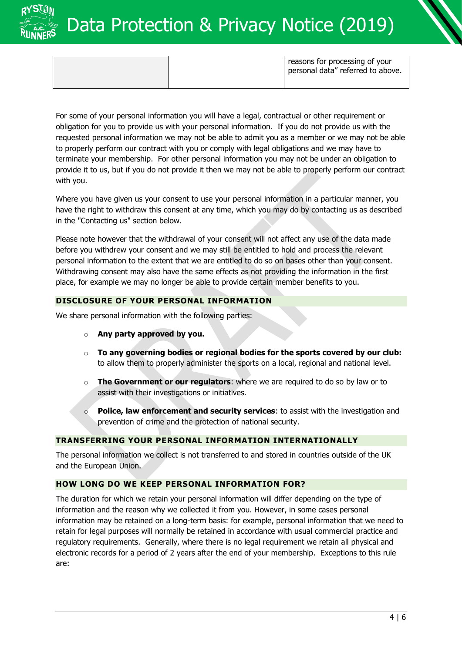

|  | reasons for processing of your<br>personal data" referred to above. |
|--|---------------------------------------------------------------------|
|  |                                                                     |

For some of your personal information you will have a legal, contractual or other requirement or obligation for you to provide us with your personal information. If you do not provide us with the requested personal information we may not be able to admit you as a member or we may not be able to properly perform our contract with you or comply with legal obligations and we may have to terminate your membership. For other personal information you may not be under an obligation to provide it to us, but if you do not provide it then we may not be able to properly perform our contract with you.

Where you have given us your consent to use your personal information in a particular manner, you have the right to withdraw this consent at any time, which you may do by contacting us as described in the "Contacting us" section below.

Please note however that the withdrawal of your consent will not affect any use of the data made before you withdrew your consent and we may still be entitled to hold and process the relevant personal information to the extent that we are entitled to do so on bases other than your consent. Withdrawing consent may also have the same effects as not providing the information in the first place, for example we may no longer be able to provide certain member benefits to you.

# **DISCLOSURE OF YOUR PERSONAL INFORMATION**

We share personal information with the following parties:

- o **Any party approved by you.**
- o **To any governing bodies or regional bodies for the sports covered by our club:** to allow them to properly administer the sports on a local, regional and national level.
- o **The Government or our regulators**: where we are required to do so by law or to assist with their investigations or initiatives.
- o **Police, law enforcement and security services**: to assist with the investigation and prevention of crime and the protection of national security.

### **TRANSFERRING YOUR PERSONAL INFORMATION INTERNATIONALLY**

The personal information we collect is not transferred to and stored in countries outside of the UK and the European Union.

### **HOW LONG DO WE KEEP PERSONAL INFORMATION FOR?**

The duration for which we retain your personal information will differ depending on the type of information and the reason why we collected it from you. However, in some cases personal information may be retained on a long-term basis: for example, personal information that we need to retain for legal purposes will normally be retained in accordance with usual commercial practice and regulatory requirements. Generally, where there is no legal requirement we retain all physical and electronic records for a period of 2 years after the end of your membership. Exceptions to this rule are: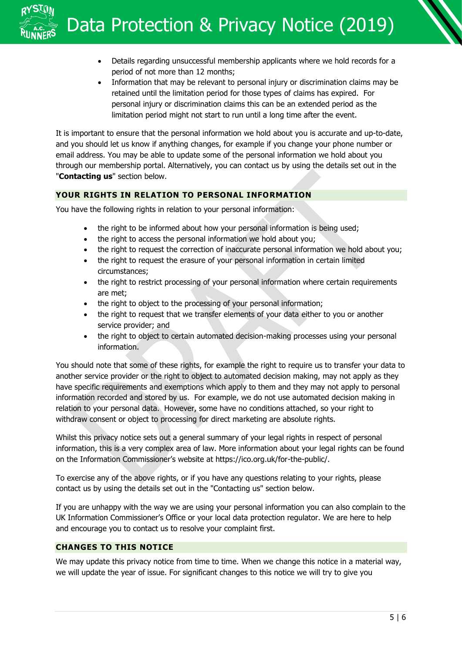- Details regarding unsuccessful membership applicants where we hold records for a period of not more than 12 months;
- Information that may be relevant to personal injury or discrimination claims may be retained until the limitation period for those types of claims has expired. For personal injury or discrimination claims this can be an extended period as the limitation period might not start to run until a long time after the event.

It is important to ensure that the personal information we hold about you is accurate and up-to-date, and you should let us know if anything changes, for example if you change your phone number or email address. You may be able to update some of the personal information we hold about you through our membership portal. Alternatively, you can contact us by using the details set out in the "**Contacting us**" section below.

# **YOUR RIGHTS IN RELATION TO PERSONAL INFORMATION**

You have the following rights in relation to your personal information:

- the right to be informed about how your personal information is being used;
- the right to access the personal information we hold about you;
- the right to request the correction of inaccurate personal information we hold about you;
- the right to request the erasure of your personal information in certain limited circumstances;
- the right to restrict processing of your personal information where certain requirements are met;
- the right to object to the processing of your personal information;
- the right to request that we transfer elements of your data either to you or another service provider; and
- the right to object to certain automated decision-making processes using your personal information.

You should note that some of these rights, for example the right to require us to transfer your data to another service provider or the right to object to automated decision making, may not apply as they have specific requirements and exemptions which apply to them and they may not apply to personal information recorded and stored by us. For example, we do not use automated decision making in relation to your personal data. However, some have no conditions attached, so your right to withdraw consent or object to processing for direct marketing are absolute rights.

Whilst this privacy notice sets out a general summary of your legal rights in respect of personal information, this is a very complex area of law. More information about your legal rights can be found on the Information Commissioner's website at https://ico.org.uk/for-the-public/.

To exercise any of the above rights, or if you have any questions relating to your rights, please contact us by using the details set out in the "Contacting us" section below.

If you are unhappy with the way we are using your personal information you can also complain to the UK Information Commissioner's Office or your local data protection regulator. We are here to help and encourage you to contact us to resolve your complaint first.

## **CHANGES TO THIS NOTICE**

We may update this privacy notice from time to time. When we change this notice in a material way, we will update the year of issue. For significant changes to this notice we will try to give you